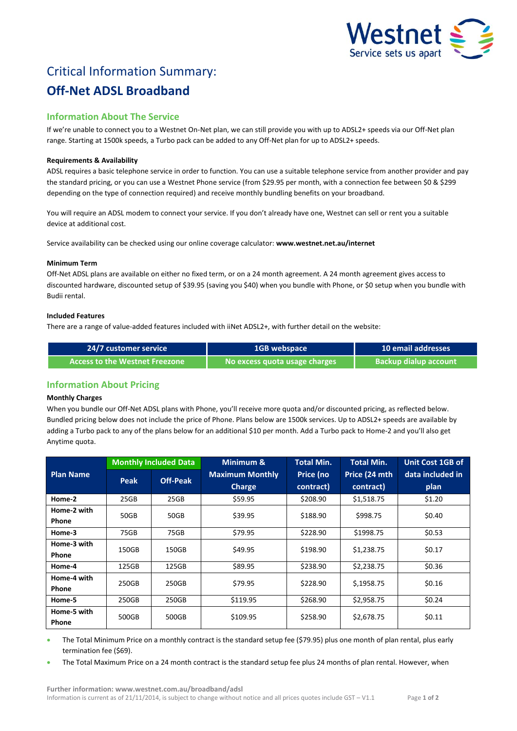

# Critical Information Summary: **Off-Net ADSL Broadband**

# **Information About The Service**

If we're unable to connect you to a Westnet On-Net plan, we can still provide you with up to ADSL2+ speeds via our Off-Net plan range. Starting at 1500k speeds, a Turbo pack can be added to any Off-Net plan for up to ADSL2+ speeds.

# **Requirements & Availability**

ADSL requires a basic telephone service in order to function. You can use a suitable telephone service from another provider and pay the standard pricing, or you can use a Westnet Phone service (from \$29.95 per month, with a connection fee between \$0 & \$299 depending on the type of connection required) and receive monthly bundling benefits on your broadband.

You will require an ADSL modem to connect your service. If you don't already have one, Westnet can sell or rent you a suitable device at additional cost.

Service availability can be checked using our online coverage calculator: **www.westnet.net.au/internet**

## **Minimum Term**

Off-Net ADSL plans are available on either no fixed term, or on a 24 month agreement. A 24 month agreement gives access to discounted hardware, discounted setup of \$39.95 (saving you \$40) when you bundle with Phone, or \$0 setup when you bundle with Budii rental.

## **Included Features**

There are a range of value-added features included with iiNet ADSL2+, with further detail on the website:

| <b>24/7 customer service</b>            | <b>1GB</b> webspace           | 10 email addresses           |  |
|-----------------------------------------|-------------------------------|------------------------------|--|
| Access to the Westnet Freezone <b>1</b> | No excess quota usage charges | <b>Backup dialup account</b> |  |

# **Information About Pricing**

# **Monthly Charges**

When you bundle our Off-Net ADSL plans with Phone, you'll receive more quota and/or discounted pricing, as reflected below. Bundled pricing below does not include the price of Phone. Plans below are 1500k services. Up to ADSL2+ speeds are available by adding a Turbo pack to any of the plans below for an additional \$10 per month. Add a Turbo pack to Home-2 and you'll also get Anytime quota.

|                             | <b>Monthly Included Data</b> |                 | Minimum &                               | <b>Total Min.</b>      | <b>Total Min.</b>          | <b>Unit Cost 1GB of</b>  |
|-----------------------------|------------------------------|-----------------|-----------------------------------------|------------------------|----------------------------|--------------------------|
| <b>Plan Name</b>            | Peak                         | <b>Off-Peak</b> | <b>Maximum Monthly</b><br><b>Charge</b> | Price (no<br>contract) | Price (24 mth<br>contract) | data included in<br>plan |
| Home-2                      | 25GB                         | 25GB            | \$59.95                                 | \$208.90               | \$1,518.75                 | \$1.20                   |
| Home-2 with<br><b>Phone</b> | 50GB                         | 50GB            | \$39.95                                 | \$188.90               | \$998.75                   | \$0.40                   |
| Home-3                      | 75GB                         | 75GB            | \$79.95                                 | \$228.90               | \$1998.75                  | \$0.53                   |
| Home-3 with<br><b>Phone</b> | 150GB                        | 150GB           | \$49.95                                 | \$198.90               | \$1,238.75                 | \$0.17                   |
| Home-4                      | 125GB                        | 125GB           | \$89.95                                 | \$238.90               | \$2,238.75                 | \$0.36                   |
| Home-4 with<br><b>Phone</b> | 250GB                        | 250GB           | \$79.95                                 | \$228.90               | \$,1958.75                 | \$0.16                   |
| Home-5                      | 250GB                        | 250GB           | \$119.95                                | \$268.90               | \$2,958.75                 | \$0.24                   |
| Home-5 with<br>Phone        | 500GB                        | 500GB           | \$109.95                                | \$258.90               | \$2,678.75                 | \$0.11                   |

 The Total Minimum Price on a monthly contract is the standard setup fee (\$79.95) plus one month of plan rental, plus early termination fee (\$69).

The Total Maximum Price on a 24 month contract is the standard setup fee plus 24 months of plan rental. However, when